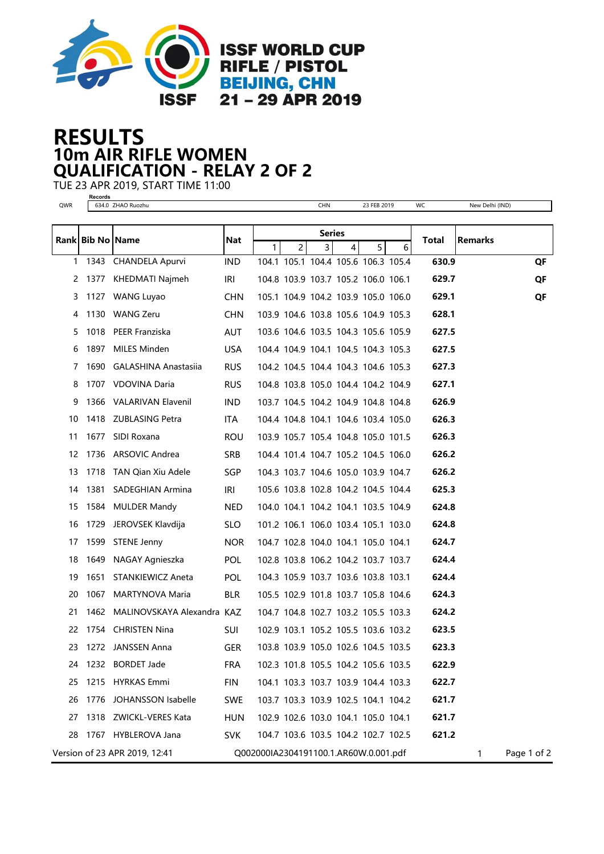

## 10m AIR RIFLE WOMEN RESULTS QUALIFICATION - RELAY 2 OF 2

TUE 23 APR 2019, START TIME 11:00

**Records** QWR 634.0 ZHAO Ruozhu CHN 23 FEB 2019 WC New Delhi (IND) Rank Bib No Name |Nat <del>| |</del> Total |Remarks Series 1 2 3 4 5 6 1343 CHANDELA Apurvi IND 104.1 105.1 104.4 105.6 106.3 105.4 630.9 QF 1377 KHEDMATI Najmeh IRI 104.8 103.9 103.7 105.2 106.0 106.1 629.7 QF 1127 WANG Luyao CHN 105.1 104.9 104.2 103.9 105.0 106.0 629.1 QF 1130 WANG Zeru CHN 103.9 104.6 103.8 105.6 104.9 105.3 628.1 1018 PEER Franziska AUT 103.6 104.6 103.5 104.3 105.6 105.9 627.5 1897 MILES Minden USA 104.4 104.9 104.1 104.5 104.3 105.3 627.5 1690 GALASHINA Anastasiia RUS 104.2 104.5 104.4 104.3 104.6 105.3 627.3 1707 VDOVINA Daria RUS 104.8 103.8 105.0 104.4 104.2 104.9 627.1 1366 VALARIVAN Elavenil IND 103.7 104.5 104.2 104.9 104.8 104.8 626.9 1418 ZUBLASING Petra ITA 104.4 104.8 104.1 104.6 103.4 105.0 626.3 1677 SIDI Roxana ROU 103.9 105.7 105.4 104.8 105.0 101.5 626.3 1736 ARSOVIC Andrea SRB 104.4 101.4 104.7 105.2 104.5 106.0 626.2 1718 TAN Qian Xiu Adele SGP 104.3 103.7 104.6 105.0 103.9 104.7 626.2 1381 SADEGHIAN Armina IRI 105.6 103.8 102.8 104.2 104.5 104.4 625.3 1584 MULDER Mandy NED 104.0 104.1 104.2 104.1 103.5 104.9 624.8 1729 JEROVSEK Klavdija SLO 101.2 106.1 106.0 103.4 105.1 103.0 624.8 1599 STENE Jenny NOR 104.7 102.8 104.0 104.1 105.0 104.1 624.7 1649 NAGAY Agnieszka POL 102.8 103.8 106.2 104.2 103.7 103.7 624.4 1651 STANKIEWICZ Aneta POL 104.3 105.9 103.7 103.6 103.8 103.1 624.4 1067 MARTYNOVA Maria BLR 105.5 102.9 101.8 103.7 105.8 104.6 624.3 1462 MALINOVSKAYA Alexandra KAZ 104.7 104.8 102.7 103.2 105.5 103.3 624.2 1754 CHRISTEN Nina SUI 102.9 103.1 105.2 105.5 103.6 103.2 623.5 1272 JANSSEN Anna GER 103.8 103.9 105.0 102.6 104.5 103.5 623.3 1232 BORDET Jade FRA 102.3 101.8 105.5 104.2 105.6 103.5 622.9 1215 HYRKAS Emmi FIN 104.1 103.3 103.7 103.9 104.4 103.3 622.7 1776 JOHANSSON Isabelle SWE 103.7 103.3 103.9 102.5 104.1 104.2 621.7 1318 ZWICKL-VERES Kata HUN 102.9 102.6 103.0 104.1 105.0 104.1 621.7 1767 HYBLEROVA Jana SVK 104.7 103.6 103.5 104.2 102.7 102.5 621.2 Version of 23 APR 2019, 12:41 Q002000IA2304191100.1.AR60W.0.001.pdf 1 Page 1 of 2